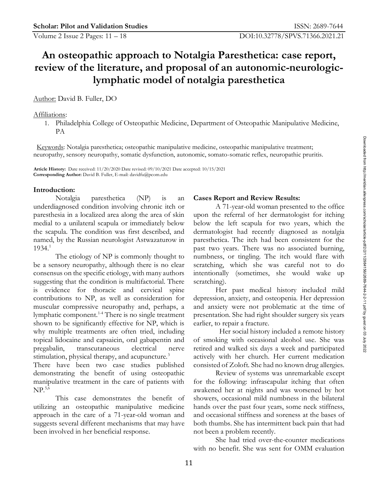# **An osteopathic approach to Notalgia Paresthetica: case report, review of the literature, and proposal of an autonomic-neurologiclymphatic model of notalgia paresthetica**

# Author: David B. Fuller, DO

### Affiliations:

1. Philadelphia College of Osteopathic Medicine, Department of Osteopathic Manipulative Medicine, PA

 Keywords: Notalgia paresthetica; osteopathic manipulative medicine, osteopathic manipulative treatment; neuropathy, sensory neuropathy, somatic dysfunction, autonomic, somato-somatic reflex, neuropathic pruritis.

 **Article History:** Date received: 11/20/2020 Date revised: 09/10/2021 Date accepted: 10/15/2021 **Corresponding Author:** David B. Fuller, E-mail: davidfu@pcom.edu

### **Introduction:**  $\frac{2}{2}$

Notalgia paresthetica (NP) is an Cases Report and Review Results: named, by the Russian neurologist Astwazaturow in 8

Keywords: Notalgia paresthetica; osteopathic manipulative medicine, osteopathic manipulative teatment;<br>neuropathy, sensory neuropathy, somatic dysfunction, autonomic, somato-somatic reflex, neuropathic purities<br>Amise Hist be a sensory neuropathy, although there is no clear is scratching, which she was careful not to do  $\frac{8}{3}$ consensus on the specific etiology, with many authors intentionally (sometimes, she would wake up suggesting that the condition is multifactorial. There scratching). is evidence for thoracic and cervical spine contributions to NP, as well as consideration for depression, anxiety, and osteopenia. Her depression  $\frac{N}{2}$ muscular compressive neuropathy and, perhaps, a 16 lymphatic component.<sup>1-4</sup> There is no single treatment presentation. She had right shoulder surgery six years  $\frac{g}{\omega}$ shown to be significantly effective for NP, which is earlier, to repair a fracture. why multiple treatments are often tried, including **1986** Her social history included a remote history topical lidocaine and capsaicin, oral gabapentin and of smoking with occasional alcohol use. She was  $\qquad \xi$ pregabalin, transcutaneous electrical nerve retired and walked six days a week and participated 53 stimulation, physical therapy, and acupuncture.<sup>3</sup> actively with her church. Her current medication

There have been two case studies published demonstrating the benefit of using osteopathic

utilizing an osteopathic manipulative medicine suggests several different mechanisms that may have

## **Cases Report and Review Results:**  $\frac{3}{5}$

paresthesia in a localized area along the area of skin upon the referral of her dermatologist for itching  $\frac{2}{s}$ medial to a unilateral scapula or immediately below below the left scapula for two years, which the  $\frac{3}{8}$ the scapula. The condition was first described, and adermatologist had recently diagnosed as notalgia  $\frac{3}{2}$ 1934.<sup>1</sup> 1934.<sup>1</sup> past two years. There was no associated burning,  $\frac{1}{8}$ The etiology of NP is commonly thought to numbness, or tingling. The itch would flare with  $\frac{3}{5}$ A 71-year-old woman presented to the office paresthetica. The itch had been consistent for the intentionally (sometimes, she would wake scratching). medicine, osteopathic manipulative treatment;<br>
winci, somato-somatic ecflex, neuropathic pruritis.<br>
A 71-ycar-old woman presented to the office<br>
upon the referral of the dermatologist for itching<br>
below the left from helic

Her past medical history included mild and anxiety were not problematic at the time of earlier, to repair a fracture.

Her social history included a remote history  $\frac{3}{8}$ consisted of Zoloft. She had no known drug allergies.

manipulative treatment in the care of patients with for the following: infrascapular itching that often NP.5,6 26 awakened her at nights and was worsened by hot 58 This case demonstrates the benefit of showers, occasional mild numbness in the bilateral approach in the care of a 71-year-old woman and and occasional stiffness and soreness at the bases of been involved in her beneficial response. The not been a problem recently. Review of systems was unremarkable except hands over the past four years, some neck stiffness, both thumbs. She has intermittent back pain that had not been a problem recently.

She had tried over-the-counter medications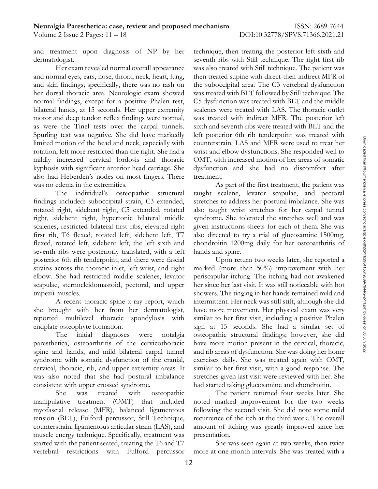and treatment upon diagnosis of NP by her technique, then treating the posterior left sixth and

and normal eyes, ears, nose, throat, neck, heart, lung, hen treated supine with direct-then-indirect MFR of and skin findings; specifically, there was no rash on the suboccipital area. The C3 vertebral dysfunction her dorsal thoracic area. Neurologic exam showed vas treated with BLT followed by Still technique. The normal findings, except for a positive Phalen test, C5 dysfunction was treated with BLT and the middle bilateral hands, at 15 seconds. Her upper extremity motor and deep tendon reflex findings were normal, was treated with indirect MFR. The posterior left as were the Tinel tests over the carpal tunnels. Spurling test was negative. She did have markedly left posterior 6th rib tenderpoint was treated with  $\overline{5}$ rotation, left more restricted than the right. She had a mildly increased cervical lordosis and thoracic OMT, with increased motion of her areas of somatic  $\frac{1}{3}$ kyphosis with significant anterior head carriage. She dysfunction and she had no discomfort after  $\frac{1}{6}$ also had Heberden's nodes on most fingers. There treatment. was no edema in the extremities. As part of the first treatment, the patient was  $\frac{3}{8}$ 

sputing test was measured with a network and the particular of the head and neck, especially with counterstrain. LAS and MFR were used to treat her original measured than the gott She had a wrist and ghow dysfunctions. Sh findings included: suboccipital strain, C3 extended, stretches to address her postural imbalance. She was  $\frac{1}{8}$ rotated right, sidebent right, C5 extended, rotated also taught wrist stretches for her carpal tunnel  $\frac{2}{9}$ right, sidebent right, hypertonic bilateral middle syndrome. She tolerated the stretches well and was  $\frac{1}{3}$ scalenes, restricted bilateral first ribs, elevated right given instructions sheets for each of them. She was  $\frac{2}{3}$ first rib, T6 flexed, rotated left, sidebent left, T7 also directed to try a trial of glucosamine 1500mg,  $\frac{1}{8}$ flexed, rotated left, sidebent left, the left sixth and chondroitin 1200mg daily for her osteoarthritis of  $\frac{1}{3}$ seventh ribs were posteriorly translated, with a left hands and spine. posterior 6th rib tenderpoint, and there were fascial strains across the thoracic inlet, left wrist, and right marked (more than 50%) improvement with her  $\frac{1}{8}$ elbow. She had restricted middle scalenes, levator periscapular itching. The itching had not awakened  $\frac{1}{2}$ scapulae, sternocleidomastoid, pectoral, and upper trapezii muscles.  $\frac{1}{2}$  showers. The tinging in her hands remained mild and  $\frac{1}{2}$ 

paresthetica, osteoarthritis of the cervicothoracic have more motion present in the cervical, thoracic,  $\frac{1}{8}$ spine and hands, and mild bilateral carpal tunnel and rib areas of dysfunction. She was doing her home syndrome with somatic dysfunction of the cranial, exercises daily. She was treated again with OMT, cervical, thoracic, rib, and upper extremity areas. It was also noted that she had postural imbalance consistent with upper crossed syndrome. 100 had started taking glucosamine and chondroitin.

myofascial release (MFR), balanced ligamentous tension (BLT), Fulford percussor, Still Technique, muscle energy technique. Specifically, treatment was presentation. started with the patient seated, treating the T6 and T7 vertebral restrictions with Fulford percussor more at one-month intervals. She was treated with a

dermatologist. The right first ribs with Still technique. The right first rib Her exam revealed normal overall appearance vas also treated with Still technique. The patient was scalenes were treated with LAS. The thoracic outlet sixth and seventh ribs were treated with BLT and the counterstrain. LAS and MFR were used to treat her wrist and elbow dysfunctions. She responded well to treatment.  $\frac{1}{30}$ 

The individual's osteopathic structural taught scalene, levator scapulae, and pectoral  $\frac{1}{2}$ hands and spine.  $\frac{18}{2}$ 

A recent thoracic spine x-ray report, which intermittent. Her neck was still stiff, although she did  $\frac{1}{2}$ she brought with her from her dermatologist, have more movement. Her physical exam was very  $\frac{8}{5}$ reported multilevel thoracic spondylosis with similar to her first visit, including a positive Phalen  $\frac{1}{8}$ endplate osteophyte formation. 99 sign at 15 seconds. She had a similar set of  $\frac{4}{9}$ The initial diagnoses were notalgia osteopathic structural findings; however, she did <sup>5</sup> Upon return two weeks later, she reported a her since her last visit. It was still noticeable with hot similar to her first visit, with a good response. The stretches given last visit were reviewed with her. She counterstrain. LAS and MHR were used to treat her worst and cloud yelfstimetions. She responded well to more transmit of OMIT, with increased motion of her areas of somatic dysfunction and she had no discomfort after treat

She was treated with osteopathic 11 The patient returned four weeks later. She manipulative treatment (OMT) that included noted marked improvement for the two weeks counterstrain, ligamentous articular strain (LAS), and amount of itching was greatly improved since her following the second visit. She did note some mild recurrence of the itch at the third week. The overall presentation.

She was seen again at two weeks, then twice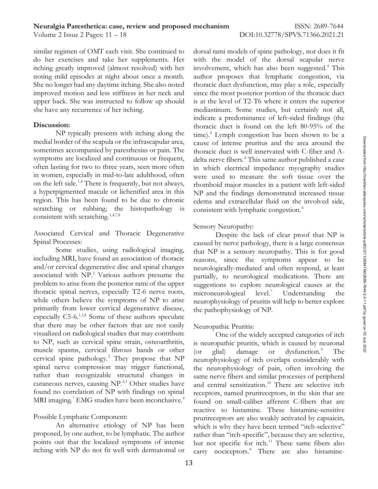sometimes accompanied by paresthesias or pain. The symptoms are localized and continuous or frequent, often lasting for two to three years, seen more often in women, especially in mid-to-late adulthood, often on the left side.<sup>1,4</sup> There is frequently, but not always, a hyperpigmented macule or lichenified area in this region. This has been found to be due to chronic scratching or rubbing; the histopathology is consistent with lymphatic congestion.<sup>4</sup> consistent with scratching.<sup>1,4,7,8</sup>

Sensory Neuropathy:<br>Associated Cervical and Thoracic Degenerative Despite the l

medial border of the scapula or the infrascepular area,  $\alpha_{\text{max}}$ ,  $\alpha_{\text{max}}$ ,  $\alpha_{\text{max}}$  (asses of intense grantias and the area around the<br>symptoms are localized by pracestoss or princ. The throacic duct is well inneva including MRI, have found an association of thoracic and/or cervical degenerative disc and spinal changes associated with  $NP<sup>2</sup>$  Various authors presume the problem to arise from the posterior rami of the upper thoracic spinal nerves, especially T2-6 nerve roots, microneurological level.<sup>7</sup> Understanding the while others believe the symptoms of NP to arise primarily from lower cervical degenerative disease, the pathophysiology of NP. especially  $C5-6$ <sup>1,3,8</sup> Some of these authors speculate that there may be other factors that are not easily Neuropathic Pruritis: visualized on radiological studies that may contribute to NP, such as cervical spine strain, osteoarthritis, muscle spasms, cervical fibrous bands or other (or glial) damage or dysfunction.<sup>9</sup> The cervical spine pathology.<sup>2</sup> They propose that  $NP$ spinal nerve compression may trigger functional, rather than recognizable structural changes in cutaneous nerves, causing  $NP^{2,3}$  Other studies have found no correlation of NP with findings on spinal MRI imaging.<sup>7</sup> EMG studies have been inconclusive. $4$ 

An alternative etiology of NP has been proposed, by one author, to be lymphatic. The author

similar regimen of OMT each visit. She continued to dorsal rami models of spine pathology, nor does it fit do her exercises and take her supplements. Her with the model of the dorsal scapular nerve itching greatly improved (almost resolved) with her involvement, which has also been suggested.<sup>4</sup> This noting mild episodes at night about once a month. author proposes that lymphatic congestion, via She no longer had any daytime itching. She also noted horacic duct dysfunction, may play a role, especially improved motion and less stiffness in her neck and since the most posterior portion of the thoracic duct upper back. She was instructed to follow up should is at the level of T2-T6 where it enters the superior she have any recurrence of her itching. The mediastinum. Some studies, but certainly not all, **Discussion:** 173 thoracic duct is found on the left 80-95% of the 2222 thoracic duct is found on the left 80-95% of the NP typically presents with itching along the  $\mu$  time).<sup>4</sup> Lymph congestion has been shown to be a indicate a predominance of left-sided findings (the cause of intense pruritus and the area around the thoracic duct is well innervated with C-fiber and Adelta nerve fibers.<sup>4</sup> This same author published a case in which electrical impedance myography studies were used to measure the soft tissue over the rhomboid major muscles in a patient with left-sided NP and the findings demonstrated increased tissue edema and extracellular fluid on the involved side, consistent with lymphatic congestion.<sup>4</sup>  $\frac{3}{2}$ 

# Sensory Neuropathy:  $\frac{2}{3}$

Spinal Processes: 1872 Caused by nerve pathology, there is a large consensus  $\frac{2}{3}$ Some studies, using radiological imaging, that NP is a sensory neuropathy. This is for good Despite the lack of clear proof that NP is reasons, since the symptoms appear to be neurologically-mediated and often respond, at least partially, to neurological medications. There are suggestions to explore neurological causes at the microneurological level.<sup>7</sup> Understanding the  $\frac{2}{5}$ neurophysiology of pruritis will help to better explore the pathophysiology of NP.  $\frac{2}{9}$ 

# Neuropathic Pruritis:

Possible Lymphatic Component: 2081 prurireceptors are also weakly activated by capsaicin, points out that the localized symptoms of intense but not specific for itch.<sup>11</sup> These same fibers also itching with NP do not fit well with dermatomal or  $\arccos$   $\arctan$  nociceptors.<sup>9</sup> There are also histamine-One of the widely accepted categories of itch is neuropathic pruritis, which is caused by neuronal (or glial) damage or dysfunction.<sup>9</sup> The  $\frac{8}{8}$ neurophysiology of itch overlaps considerably with the neurophysiology of pain, often involving the same nerve fibers and similar processes of peripheral and central sensitization.<sup>10</sup> There are selective itch receptors, named prurireceptors, in the skin that are found on small-caliber afferent C-fibers that are reactive to histamine. These histamine-sensitive which is why they have been termed "itch-selective" rather than "itch-specific", because they are selective, carry notice duct is well innervated with C-fiber and A-<br>thoracise of intersections and the area around the dedical nerve fibres:<br> $\theta$  dedical nerve fibres: This same author published a case<br>in which electrical impedance m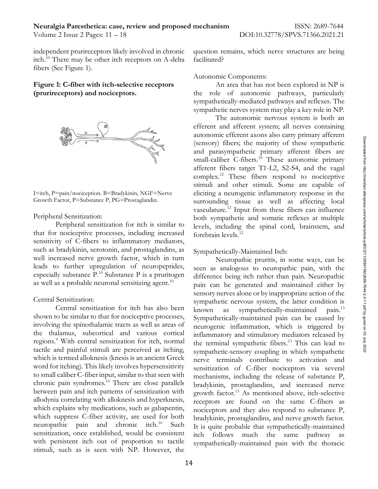itch.<sup>10</sup> There may be other itch receptors on A-delta facilitated? fibers (See Figure 1).



sensitivity of C-fibers to inflammatory mediators, such as bradykinin, serotonin, and prostaglandins, as Sympathetically-Maintained Itch: well increased nerve growth factor, which in turn leads to further upregulation of neuropeptides, especially substance  $P^{10}$  Substance P is a pruritogen as well as a probable neuronal sensitizing agent.

shown to be similar to that for nociceptive processes, involving the spinothalamic tracts as well as areas of the thalamus, subcortical and various cortical regions.<sup>9</sup> With central sensitization for itch, normal tactile and painful stimuli are perceived as itching, which is termed alloknesis (knesis is an ancient Greek word for itching). This likely involves hypersensitivity to small caliber C-fiber input, similar to that seen with chronic pain syndromes.<sup>10</sup> There are close parallels between pain and itch patterns of sensitization with allodynia correlating with alloknesis and hyperknesis, which explains why medications, such as gabapentin, which suppress C-fiber activity, are used for both neuropathic pain and chronic itch.<sup>10</sup> Such sensitization, once established, would be consistent with persistent itch out of proportion to tactile sympathetically-maintained pain with the thoracic stimuli, such as is seen with NP. However, the

independent prurireceptors likely involved in chronic question remains, which nerve structures are being facilitated? **3022** 

Autonomic Components:

**Figure 1: C-fiber with itch-selective receptors** An area that has not been explored in NP is **(prurireceptors) and nociceptors.** The role of autonomic pathways, particularly sympathetically-mediated pathways and reflexes. The sympathetic nerves system may play a key role in NP.

I=itch, P=pain/nociception. B=Bradykinin, NGF=Nerve eliciting a neurogenic inflammatory response in the  $\frac{1}{\frac{8}{9}}$ Growth Factor, P=Substance P, PG=Prostaglandin. 270 surrounding tissue as well as affecting local  $\frac{3}{8}$ Peripheral Sensitization:  $\overline{\mathbf{r}}$  both sympathetic and somatic reflexes at multiple  $\overline{\mathbf{r}}$ Peripheral sensitization for itch is similar to levels, including the spinal cord, brainstem, and  $\frac{3}{8}$ **Example 19**<br>
(sensory) fibers; the majority of these sympathetic<br>
and parameteristic primary affects that properties that the step of<br>
Theorem (because the small caliber C-fibers.<sup>18</sup> These autonomic primary<br>
affects tha The autonomic nervous system is both an efferent and afferent system; all nerves containing autonomic efferent axons also carry primary afferent (sensory) fibers; the majority of these sympathetic and parasympathetic primary afferent fibers are small-caliber  $C$ -fibers.<sup>10</sup> These autonomic primary afferent fibers target T1-L2, S2-S4, and the vagal  $complex.<sup>12</sup>$  These fibers respond to nociceptive stimuli and other stimuli. Some are capable of vasculature.<sup>12</sup> Input from these fibers can influence forebrain levels.<sup>12</sup>  $\frac{3}{8}$ 

# Sympathetically-Maintained Itch:  $\frac{32}{2}$

 $\frac{10}{2}$  pain can be generated and maintained either by  $\frac{20}{8}$ Central Sensitization:  $\sum_{n=1}^{\infty}$  sympathetic nervous system, the latter condition is  $\sum_{n=1}^{\infty}$ Central sensitization for itch has also been  $\frac{1}{2}$  known as sympathetically-maintained pain.<sup>13</sup> Neuropathic pruritis, in some ways, can be seen as analogous to neuropathic pain, with the difference being itch rather than pain. Neuropathic sensory nerves alone or by inappropriate action of the known as sympathetically-maintained pain.<sup>13</sup>  $\frac{3}{5}$ Sympathetically-maintained pain can be caused by neurogenic inflammation, which is triggered by inflammatory and stimulatory mediators released by the terminal sympathetic fibers.<sup>13</sup> This can lead to sympathetic-sensory coupling in which sympathetic nerve terminals contribute to activation and sensitization of C-fiber nociceptors via several mechanisms, including the release of substance P, bradykinin, prostaglandins, and increased nerve growth factor.<sup>13</sup> As mentioned above, itch-selective receptors are found on the same C-fibers as nociceptors and they also respond to substance  $P$ , bradykinin, prostaglandins, and nerve growth factor. 345 It is quite probable that sympathetically-maintained itch follows much the same pathway as (sensory) fibers; the majority of these sympathetic and parasympathetic pimary afferent fibers are accordined pimary afferent fibers are separated to notecrolive in small caliber C-fibers.<sup>18</sup> These autonomic pimary affere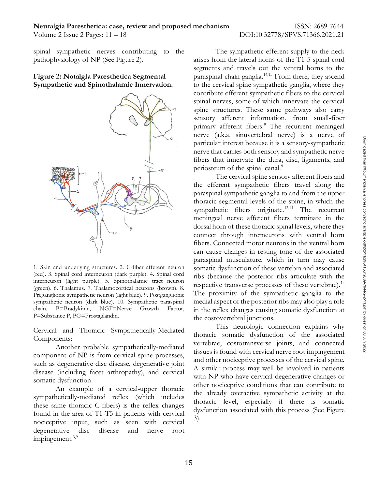spinal sympathetic nerves contributing to the



interneuron (light purple). 5. Spinothalamic tract neuron (green). 6. Thalamus. 7. Thalamocortical neurons (brown). 8. Preganglionic sympathetic neuron (light blue). 9. Postganglionic sympathetic neuron (dark blue). 10. Sympathetic paraspinal<br>chain. B=Bradykinin, NGF=Nerve Growth Factor,

Cervical and Thoracic Sympathetically-Mediated

Another probable sympathetically-mediated component of NP is from cervical spine processes, such as degenerative disc disease, degenerative joint disease (including facet arthropathy), and cervical

An example of a cervical-upper thoracic sympathetically-mediated reflex (which includes these same thoracic C-fibers) is the reflex changes found in the area of T1-T5 in patients with cervical  $\frac{dy_3}{3}$ nociceptive input, such as seen with cervical degenerative disc disease and nerve root impingement.<sup>3,9</sup>

pathophysiology of NP (See Figure 2). 350 arises from the lateral horns of the T1-5 spinal cord Figure 2: Notalgia Paresthetica Segmental paraspinal chain ganglia.<sup>14,15</sup> From there, they ascend **Sympathetic and Spinothalamic Innervation.** 353 to the cervical spine sympathetic ganglia, where they The sympathetic efferent supply to the neck segments and travels out the ventral horns to the contribute efferent sympathetic fibers to the cervical spinal nerves, some of which innervate the cervical spine structures. These same pathways also carry sensory afferent information, from small-fiber primary afferent fibers.<sup>9</sup> The recurrent meningeal nerve (a.k.a. sinuvertebral nerve) is a nerve of particular interest because it is a sensory-sympathetic nerve that carries both sensory and sympathetic nerve fibers that innervate the dura, disc, ligaments, and periosteum of the spinal canal.<sup>9</sup>  $\frac{1}{8}$ 

1. Skin and underlying structures. 2. C-fiber afferent neuron somatic dysfunction of these vertebra and associated  $\frac{8}{9}$ Figure 1. Sin and underling structures are the spinal cord interneuron and sympathetic cord interneuron (the spinal cord interneuron (dark purple). The correct argument correct internet between the spinal cord internet int sympathetic neuron (dark blue). 10. Sympathetic paraspinal medial aspect of the posterior ribs may also play a role  $\frac{18}{2}$  $P=Substance P, PG=Prostaglandin.$ The cervical spine sensory afferent fibers and the efferent sympathetic fibers travel along the paraspinal sympathetic ganglia to and from the upper thoracic segmental levels of the spine, in which the sympathetic fibers originate.<sup>12,14</sup> The recurrent meningeal nerve afferent fibers terminate in the dorsal horn of these thoracic spinal levels, where they connect through interneurons with ventral horn fibers. Connected motor neurons in the ventral horn can cause changes in resting tone of the associated paraspinal musculature, which in turn may cause ribs (because the posterior ribs articulate with the respective transverse processes of these vertebrae).<sup>14</sup> The proximity of the sympathetic ganglia to the in the reflex changes causing somatic dysfunction at the costovertebral junctions.

 $\sum_{i=1}^{\infty}$  Components: somatic dysfunction.<br> $\frac{1}{2}$  and  $\frac{1}{2}$  are significantly explicitly to the set of the set of the set of the set of the set of the set of the set of the set of the set of the set of the set of the set of the set of th This neurologic connection explains why thoracic somatic dysfunction of the associated vertebrae, costotransverse joints, and connected tissues is found with cervical nerve root impingement and other nociceptive processes of the cervical spine. A similar process may well be involved in patients with NP who have cervical degenerative changes or other nociceptive conditions that can contribute to 418 the already overactive sympathetic activity at the thoracic level, especially if there is somatic dysfunction associated with this process (See Figure  $3)$ .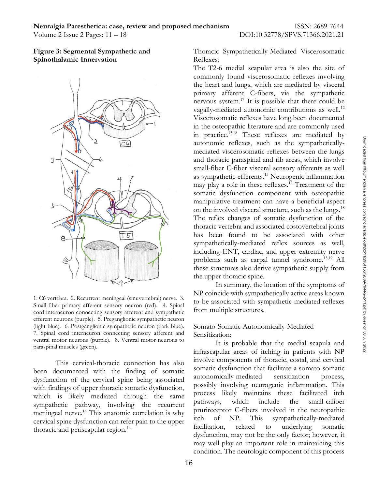

Small-fiber primary afferent sensory neuron (red). 4. Spinal  $\frac{100 \text{ oz}}{200 \text{ oz}}$  associated with sympathetic from multiple structures. cord interneuron connecting sensory afferent and sympathetic efferent neurons (purple). 5. Preganglionic sympathetic neuron (light blue). 6. Postganglionic sympathetic neuron (dark blue). 7. Spinal cord interneuron connecting sensory afferent and Sensitization: ventral motor neurons (purple). 8. Ventral motor neurons to

This cervical-thoracic connection has also been documented with the finding of somatic somatic averture a somato-somatic dure<br>function of the certical cause being associated autonomically-mediated sensitization process, dysfunction of the cervical spine being associated with findings of upper thoracic somatic dysfunction, which is likely mediated through the same process likely maintains these racintated iterations which include the small-caliber sympathetic pathway, involving the recurrent meningeal nerve.<sup>16</sup> This anatomic correlation is why <sup>prurireceptor</sup> C-noers involved in the neuropathic<br>correlation and analysis to the upper itch of NP. This sympathetically-mediated cervical spine dysfunction can refer pain to the upper<br>there is no the the sympathetically-mediated<br>facilitation, related to underlying somatic

Figure 3: Segmental Sympathetic and **426 Thoracic Sympathetically-Mediated Viscerosomatic Spinothalamic Innervation 427 Reflexes: All all and All and All and All and All and All and All and All and All and All and All and All and All and All and All and All and All and All and All and All and All and All a** Reflexes:

1. C6 vertebra. 2. Recurrent meningeal visual distribution is the sympathetically interded visual distribution is a supported on the things of sinus and those control of the some small distribution of the some of the many The  $T2-6$  medial scapular area is also the site of commonly found viscerosomatic reflexes involving the heart and lungs, which are mediated by visceral primary afferent C-fibers, via the sympathetic nervous system. $17$  It is possible that there could be vagally-mediated autonomic contributions as well.<sup>12</sup> Viscerosomatic reflexes have long been documented in the osteopathic literature and are commonly used in practice.<sup>15,18</sup> These reflexes are mediated by autonomic reflexes, such as the sympatheticallymediated viscerosomatic reflexes between the lungs and thoracic paraspinal and rib areas, which involve small-fiber C-fiber visceral sensory afferents as well as sympathetic efferents.<sup>15</sup> Neurogenic inflammation may play a role in these reflexes.<sup>12</sup> Treatment of the somatic dysfunction component with osteopathic manipulative treatment can have a beneficial aspect on the involved visceral structure, such as the lungs.<sup>18</sup> The reflex changes of somatic dysfunction of the thoracic vertebra and associated costovertebral joints 469 has been found to be associated with other sympathetically-mediated reflex sources as well, including ENT, cardiac, and upper extremity nerve problems such as carpal tunnel syndrome.<sup>15,19</sup> All these structures also derive sympathetic supply from the upper thoracic spine.  $\frac{1}{8}$ condition. The neurological state of this propagation in the neurological victor of the neurological process between the lungers and thoncic paraspinal and rib races where the neurological from the movive of this process.<sup></sup>

In summary, the location of the symptoms of NP coincide with sympathetically active areas known to be associated with sympathetic-mediated reflexes from multiple structures.

## Somato-Somatic Autonomically-Mediated Sensitization:

paraspinal muscles (green). thoracic and periscapular region.<sup>14</sup> tacilitation, related to underlying somatic It is probable that the medial scapula and infrascapular areas of itching in patients with NP involve components of thoracic, costal, and cervical somatic dysfunction that facilitate a somato-somatic autonomically-mediated sensitization process, 487 possibly involving neurogenic inflammation. This process likely maintains these facilitated itch 489 pathways, which include the small-caliber prurireceptor C-fibers involved in the neuropathic 491 itch of NP. This sympathetically-mediated facilitation, related to underlying somatic dysfunction, may not be the only factor; however, it may well play an important role in maintaining this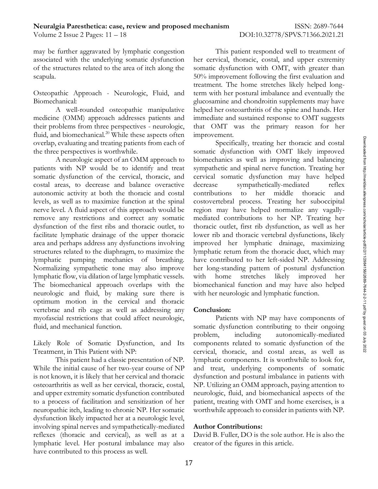may be further aggravated by lymphatic congestion associated with the underlying somatic dysfunction

medicine (OMM) approach addresses patients and immediate and sustained response to OMT suggests their problems from three perspectives - neurologic, that OMT was the primary reason for her overlap, evaluating and treating patients from each of

fluid, and biomechanical.<sup>20</sup> While these aspects often improvement.<br>This charge and increase aspects of a Non-Readingly, teaching the more and costal<br>the three perspectives is worthwhile.<br>More are separate that the propos patients with NP would be to identify and treat sympathetic and spinal nerve function. Treating her  $\frac{1}{6}$ somatic dysfunction of the cervical, thoracic, and cervical somatic dysfunction may have helped  $\frac{1}{8}$ costal areas, to decrease and balance overactive decrease sympathetically-mediated reflex autonomic activity at both the thoracic and costal contributions to her middle thoracic and levels, as well as to maximize function at the spinal costovertebral process. Treating her suboccipital  $\frac{1}{8}$ nerve level. A fluid aspect of this approach would be remove any restrictions and correct any somatic dysfunction of the first ribs and thoracic outlet, to thoracic outlet, first rib dysfunction, as well as her  $\frac{6}{8}$ facilitate lymphatic drainage of the upper thoracic lower rib and thoracic vertebral dysfunctions, likely  $\frac{1}{8}$ area and perhaps address any dysfunctions involving improved her lymphatic drainage, maximizing  $\frac{1}{2}$ structures related to the diaphragm, to maximize the Iymphatic return from the thoracic duct, which may  $\frac{8}{3}$ lymphatic pumping mechanics of breathing. have contributed to her left-sided NP. Addressing  $\frac{1}{2}$ Normalizing sympathetic tone may also improve her long-standing pattern of postural dysfunction  $\frac{2}{9}$ lymphatic flow, via dilation of large lymphatic vessels. with home stretches likely improved her The biomechanical approach overlaps with the biomechanical function and may have also helped  $\frac{9}{8}$ neurologic and fluid, by making sure there is optimum motion in the cervical and thoracic 527 vertebrae and rib cage as well as addressing any **Conclusion:** myofascial restrictions that could affect neurologic, 529 fluid, and mechanical function. The somatic dysfunction contributing to their ongoing  $\frac{2}{9}$ 

neuropathic itch, leading to chronic NP. Her somatic vorthwhile approach to consider in patients with NP. dysfunction likely impacted her at a neurologic level, 541 involving spinal nerves and sympathetically-mediated Author Contributions: reflexes (thoracic and cervical), as well as at a David B. Fuller, DO is the sole author. He is also the lymphatic level. Her postural imbalance may also creator of the figures in this article. have contributed to this process as well.

of the structures related to the area of itch along the somatic dysfunction with OMT, with greater than scapula. Scapula. Sollowing the first evaluation and scapula. Sollowing the first evaluation and Osteopathic Approach - Neurologic, Fluid, and term with her postural imbalance and eventually the Biomechanical: 503 and 503 supplements may have 553 supplements may have 552 supplements may have A well-rounded osteopathic manipulative helped her osteoarthritis of the spine and hands. Her This patient responded well to treatment of her cervical, thoracic, costal, and upper extremity treatment. The home stretches likely helped longimprovement.

the three perspectives is worthwhile. Somatic dysfunction with OMT likely improved  $\frac{8}{9}$ A neurologic aspect of an OMM approach to biomechanics as well as improving and balancing  $\frac{1}{3}$ Specifically, treating her thoracic and costal decrease sympathetically-mediated reflex  $\frac{3}{8}$ contributions to her middle thoracic and  $\frac{5}{8}$ region may have helped normalize any vagallymediated contributions to her NP. Treating her with home stretches likely improved her  $\frac{1}{2}$ with her neurologic and lymphatic function.

### **Conclusion:**  $\frac{2}{5}$

Likely Role of Somatic Dysfunction, and Its components related to somatic dysfunction of the  $\frac{5}{8}$ Treatment, in This Patient with NP: Treatment, in This Patient with NP: The Servical, thoracic, and costal areas, as well as  $58$ This patient had a classic presentation of NP. Iymphatic components. It is worthwhile to look for, While the initial cause of her two-year course of NP and treat, underlying components of somatic is not known, it is likely that her cervical and thoracic dysfunction and postural imbalance in patients with osteoarthritis as well as her cervical, thoracic, costal, NP. Utilizing an OMM approach, paying attention to and upper extremity somatic dysfunction contributed neurologic, fluid, and biomechanical aspects of the to a process of facilitation and sensitization of her patient, treating with OMT and home exercises, is a Patients with NP may have components of problem, including autonomically-mediated  $\frac{8}{5}$ 

# Author Contributions:

creator of the figures in this article.